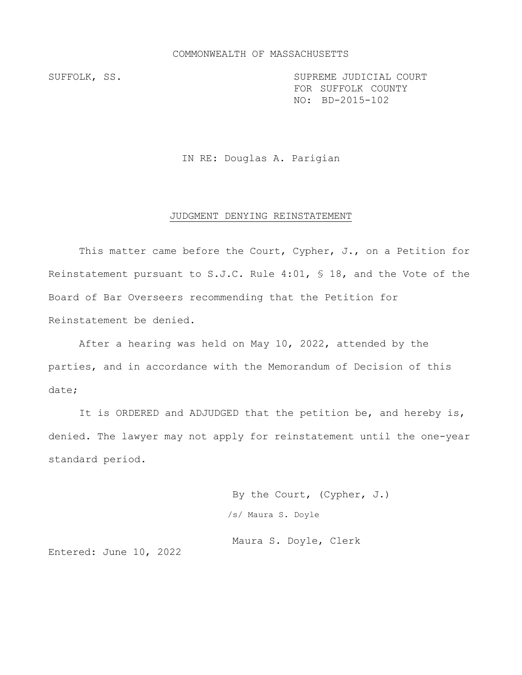### COMMONWEALTH OF MASSACHUSETTS

SUFFOLK, SS. SUPREME JUDICIAL COURT FOR SUFFOLK COUNTY NO: BD-2015-102

IN RE: Douglas A. Parigian

### JUDGMENT DENYING REINSTATEMENT

This matter came before the Court, Cypher, J., on a Petition for Reinstatement pursuant to S.J.C. Rule 4:01, § 18, and the Vote of the Board of Bar Overseers recommending that the Petition for Reinstatement be denied.

After a hearing was held on May 10, 2022, attended by the parties, and in accordance with the Memorandum of Decision of this date;

It is ORDERED and ADJUDGED that the petition be, and hereby is, denied. The lawyer may not apply for reinstatement until the one-year standard period.

> By the Court, (Cypher, J.) /s/ Maura S. Doyle

Maura S. Doyle, Clerk

Entered: June 10, 2022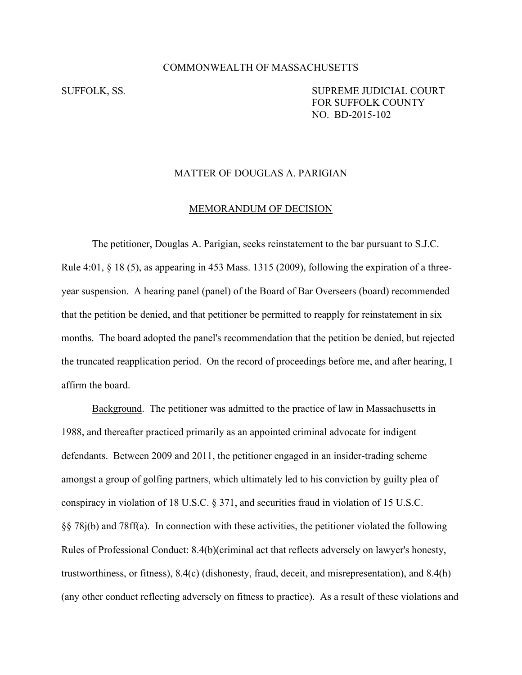# COMMONWEALTH OF MASSACHUSETTS

SUFFOLK, SS. SUPREME JUDICIAL COURT FOR SUFFOLK COUNTY NO. BD-2015-102

# MATTER OF DOUGLAS A. PARIGIAN

### MEMORANDUM OF DECISION

 The petitioner, Douglas A. Parigian, seeks reinstatement to the bar pursuant to S.J.C. Rule 4:01, § 18 (5), as appearing in 453 Mass. 1315 (2009), following the expiration of a threeyear suspension. A hearing panel (panel) of the Board of Bar Overseers (board) recommended that the petition be denied, and that petitioner be permitted to reapply for reinstatement in six months. The board adopted the panel's recommendation that the petition be denied, but rejected the truncated reapplication period. On the record of proceedings before me, and after hearing, I affirm the board.

 Background. The petitioner was admitted to the practice of law in Massachusetts in 1988, and thereafter practiced primarily as an appointed criminal advocate for indigent defendants. Between 2009 and 2011, the petitioner engaged in an insider-trading scheme amongst a group of golfing partners, which ultimately led to his conviction by guilty plea of conspiracy in violation of 18 U.S.C. § 371, and securities fraud in violation of 15 U.S.C. §§ 78j(b) and 78ff(a). In connection with these activities, the petitioner violated the following Rules of Professional Conduct: 8.4(b)(criminal act that reflects adversely on lawyer's honesty, trustworthiness, or fitness), 8.4(c) (dishonesty, fraud, deceit, and misrepresentation), and 8.4(h) (any other conduct reflecting adversely on fitness to practice). As a result of these violations and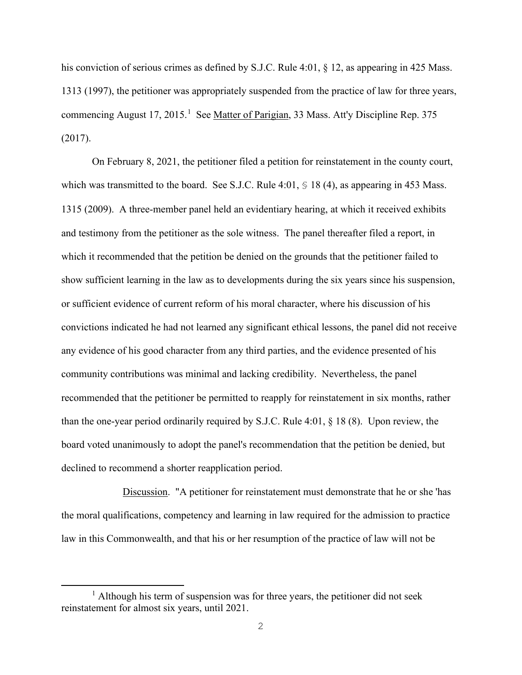his conviction of serious crimes as defined by S.J.C. Rule 4:01, § 12, as appearing in 425 Mass. 1313 (1997), the petitioner was appropriately suspended from the practice of law for three years, commencing August 17, 2015.<sup>1</sup> See Matter of Parigian, 33 Mass. Att'y Discipline Rep. 375 (2017).

 On February 8, 2021, the petitioner filed a petition for reinstatement in the county court, which was transmitted to the board. See S.J.C. Rule 4:01,  $\leq 18$  (4), as appearing in 453 Mass. 1315 (2009). A three-member panel held an evidentiary hearing, at which it received exhibits and testimony from the petitioner as the sole witness. The panel thereafter filed a report, in which it recommended that the petition be denied on the grounds that the petitioner failed to show sufficient learning in the law as to developments during the six years since his suspension, or sufficient evidence of current reform of his moral character, where his discussion of his convictions indicated he had not learned any significant ethical lessons, the panel did not receive any evidence of his good character from any third parties, and the evidence presented of his community contributions was minimal and lacking credibility. Nevertheless, the panel recommended that the petitioner be permitted to reapply for reinstatement in six months, rather than the one-year period ordinarily required by S.J.C. Rule 4:01, § 18 (8). Upon review, the board voted unanimously to adopt the panel's recommendation that the petition be denied, but declined to recommend a shorter reapplication period.

Discussion. "A petitioner for reinstatement must demonstrate that he or she 'has the moral qualifications, competency and learning in law required for the admission to practice law in this Commonwealth, and that his or her resumption of the practice of law will not be

<sup>&</sup>lt;sup>1</sup> Although his term of suspension was for three years, the petitioner did not seek reinstatement for almost six years, until 2021.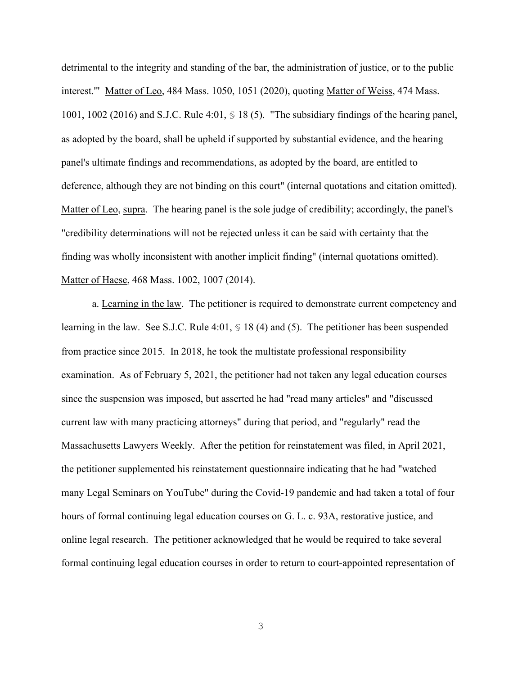detrimental to the integrity and standing of the bar, the administration of justice, or to the public interest.'" Matter of Leo, 484 Mass. 1050, 1051 (2020), quoting Matter of Weiss, 474 Mass. 1001, 1002 (2016) and S.J.C. Rule 4:01, § 18 (5). "The subsidiary findings of the hearing panel, as adopted by the board, shall be upheld if supported by substantial evidence, and the hearing panel's ultimate findings and recommendations, as adopted by the board, are entitled to deference, although they are not binding on this court" (internal quotations and citation omitted). Matter of Leo, supra. The hearing panel is the sole judge of credibility; accordingly, the panel's "credibility determinations will not be rejected unless it can be said with certainty that the finding was wholly inconsistent with another implicit finding" (internal quotations omitted). Matter of Haese, 468 Mass. 1002, 1007 (2014).

a. Learning in the law. The petitioner is required to demonstrate current competency and learning in the law. See S.J.C. Rule 4:01, § 18 (4) and (5). The petitioner has been suspended from practice since 2015. In 2018, he took the multistate professional responsibility examination. As of February 5, 2021, the petitioner had not taken any legal education courses since the suspension was imposed, but asserted he had "read many articles" and "discussed current law with many practicing attorneys" during that period, and "regularly" read the Massachusetts Lawyers Weekly. After the petition for reinstatement was filed, in April 2021, the petitioner supplemented his reinstatement questionnaire indicating that he had "watched many Legal Seminars on YouTube" during the Covid-19 pandemic and had taken a total of four hours of formal continuing legal education courses on G. L. c. 93A, restorative justice, and online legal research. The petitioner acknowledged that he would be required to take several formal continuing legal education courses in order to return to court-appointed representation of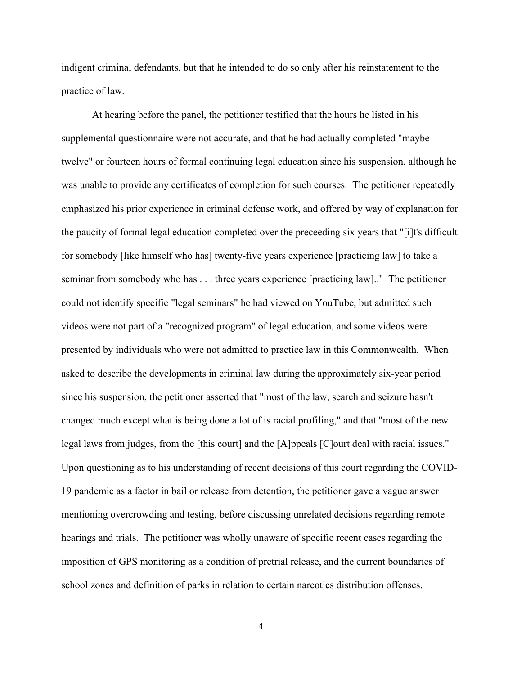indigent criminal defendants, but that he intended to do so only after his reinstatement to the practice of law.

At hearing before the panel, the petitioner testified that the hours he listed in his supplemental questionnaire were not accurate, and that he had actually completed "maybe twelve" or fourteen hours of formal continuing legal education since his suspension, although he was unable to provide any certificates of completion for such courses. The petitioner repeatedly emphasized his prior experience in criminal defense work, and offered by way of explanation for the paucity of formal legal education completed over the preceeding six years that "[i]t's difficult for somebody [like himself who has] twenty-five years experience [practicing law] to take a seminar from somebody who has . . . three years experience [practicing law].." The petitioner could not identify specific "legal seminars" he had viewed on YouTube, but admitted such videos were not part of a "recognized program" of legal education, and some videos were presented by individuals who were not admitted to practice law in this Commonwealth. When asked to describe the developments in criminal law during the approximately six-year period since his suspension, the petitioner asserted that "most of the law, search and seizure hasn't changed much except what is being done a lot of is racial profiling," and that "most of the new legal laws from judges, from the [this court] and the [A]ppeals [C]ourt deal with racial issues." Upon questioning as to his understanding of recent decisions of this court regarding the COVID-19 pandemic as a factor in bail or release from detention, the petitioner gave a vague answer mentioning overcrowding and testing, before discussing unrelated decisions regarding remote hearings and trials. The petitioner was wholly unaware of specific recent cases regarding the imposition of GPS monitoring as a condition of pretrial release, and the current boundaries of school zones and definition of parks in relation to certain narcotics distribution offenses.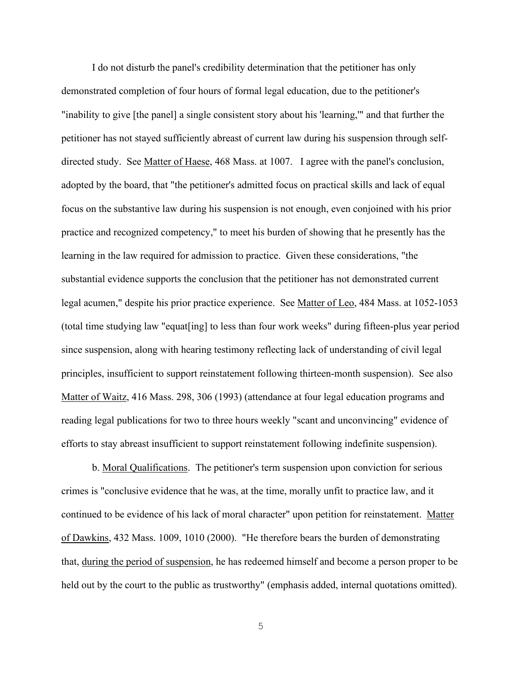I do not disturb the panel's credibility determination that the petitioner has only demonstrated completion of four hours of formal legal education, due to the petitioner's "inability to give [the panel] a single consistent story about his 'learning,'" and that further the petitioner has not stayed sufficiently abreast of current law during his suspension through selfdirected study. See Matter of Haese, 468 Mass. at 1007. I agree with the panel's conclusion, adopted by the board, that "the petitioner's admitted focus on practical skills and lack of equal focus on the substantive law during his suspension is not enough, even conjoined with his prior practice and recognized competency," to meet his burden of showing that he presently has the learning in the law required for admission to practice. Given these considerations, "the substantial evidence supports the conclusion that the petitioner has not demonstrated current legal acumen," despite his prior practice experience. See Matter of Leo, 484 Mass. at 1052-1053 (total time studying law "equat[ing] to less than four work weeks" during fifteen-plus year period since suspension, along with hearing testimony reflecting lack of understanding of civil legal principles, insufficient to support reinstatement following thirteen-month suspension). See also Matter of Waitz, 416 Mass. 298, 306 (1993) (attendance at four legal education programs and reading legal publications for two to three hours weekly "scant and unconvincing" evidence of efforts to stay abreast insufficient to support reinstatement following indefinite suspension).

b. Moral Qualifications. The petitioner's term suspension upon conviction for serious crimes is "conclusive evidence that he was, at the time, morally unfit to practice law, and it continued to be evidence of his lack of moral character" upon petition for reinstatement. Matter of Dawkins, 432 Mass. 1009, 1010 (2000). "He therefore bears the burden of demonstrating that, during the period of suspension, he has redeemed himself and become a person proper to be held out by the court to the public as trustworthy" (emphasis added, internal quotations omitted).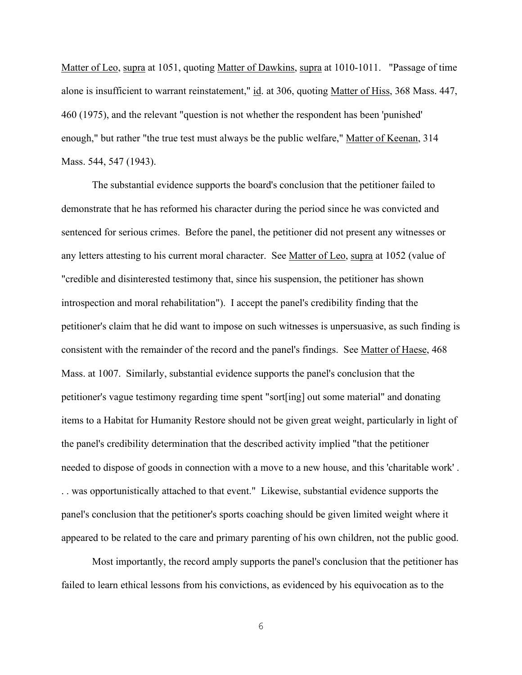Matter of Leo, supra at 1051, quoting Matter of Dawkins, supra at 1010-1011. "Passage of time alone is insufficient to warrant reinstatement," id. at 306, quoting Matter of Hiss, 368 Mass. 447, 460 (1975), and the relevant "question is not whether the respondent has been 'punished' enough," but rather "the true test must always be the public welfare," Matter of Keenan, 314 Mass. 544, 547 (1943).

The substantial evidence supports the board's conclusion that the petitioner failed to demonstrate that he has reformed his character during the period since he was convicted and sentenced for serious crimes. Before the panel, the petitioner did not present any witnesses or any letters attesting to his current moral character. See Matter of Leo, supra at 1052 (value of "credible and disinterested testimony that, since his suspension, the petitioner has shown introspection and moral rehabilitation"). I accept the panel's credibility finding that the petitioner's claim that he did want to impose on such witnesses is unpersuasive, as such finding is consistent with the remainder of the record and the panel's findings. See Matter of Haese, 468 Mass. at 1007. Similarly, substantial evidence supports the panel's conclusion that the petitioner's vague testimony regarding time spent "sort[ing] out some material" and donating items to a Habitat for Humanity Restore should not be given great weight, particularly in light of the panel's credibility determination that the described activity implied "that the petitioner needed to dispose of goods in connection with a move to a new house, and this 'charitable work' . . . was opportunistically attached to that event." Likewise, substantial evidence supports the panel's conclusion that the petitioner's sports coaching should be given limited weight where it appeared to be related to the care and primary parenting of his own children, not the public good.

 Most importantly, the record amply supports the panel's conclusion that the petitioner has failed to learn ethical lessons from his convictions, as evidenced by his equivocation as to the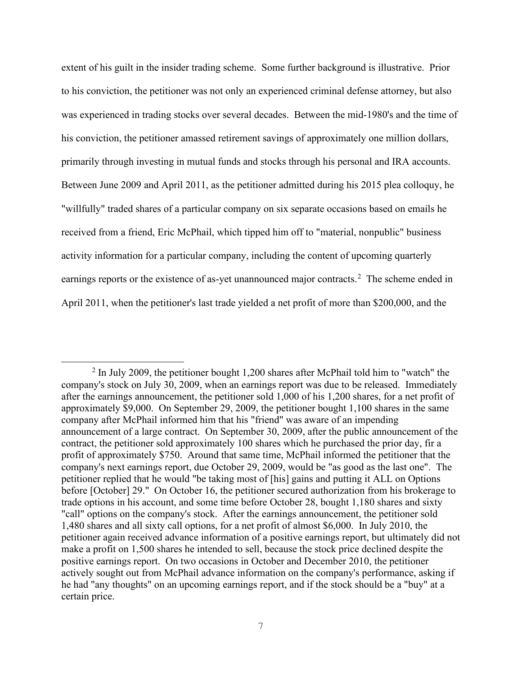extent of his guilt in the insider trading scheme. Some further background is illustrative. Prior to his conviction, the petitioner was not only an experienced criminal defense attorney, but also was experienced in trading stocks over several decades. Between the mid-1980's and the time of his conviction, the petitioner amassed retirement savings of approximately one million dollars, primarily through investing in mutual funds and stocks through his personal and IRA accounts. Between June 2009 and April 2011, as the petitioner admitted during his 2015 plea colloquy, he "willfully" traded shares of a particular company on six separate occasions based on emails he received from a friend, Eric McPhail, which tipped him off to "material, nonpublic" business activity information for a particular company, including the content of upcoming quarterly earnings reports or the existence of as-yet unannounced major contracts.<sup>2</sup> The scheme ended in April 2011, when the petitioner's last trade yielded a net profit of more than \$200,000, and the

 $2$  In July 2009, the petitioner bought 1,200 shares after McPhail told him to "watch" the company's stock on July 30, 2009, when an earnings report was due to be released. Immediately after the earnings announcement, the petitioner sold 1,000 of his 1,200 shares, for a net profit of approximately \$9,000. On September 29, 2009, the petitioner bought 1,100 shares in the same company after McPhail informed him that his "friend" was aware of an impending announcement of a large contract. On September 30, 2009, after the public announcement of the contract, the petitioner sold approximately 100 shares which he purchased the prior day, fir a profit of approximately \$750. Around that same time, McPhail informed the petitioner that the company's next earnings report, due October 29, 2009, would be "as good as the last one". The petitioner replied that he would "be taking most of [his] gains and putting it ALL on Options before [October] 29." On October 16, the petitioner secured authorization from his brokerage to trade options in his account, and some time before October 28, bought 1,180 shares and sixty "call" options on the company's stock. After the earnings announcement, the petitioner sold 1,480 shares and all sixty call options, for a net profit of almost \$6,000. In July 2010, the petitioner again received advance information of a positive earnings report, but ultimately did not make a profit on 1,500 shares he intended to sell, because the stock price declined despite the positive earnings report. On two occasions in October and December 2010, the petitioner actively sought out from McPhail advance information on the company's performance, asking if he had "any thoughts" on an upcoming earnings report, and if the stock should be a "buy" at a certain price.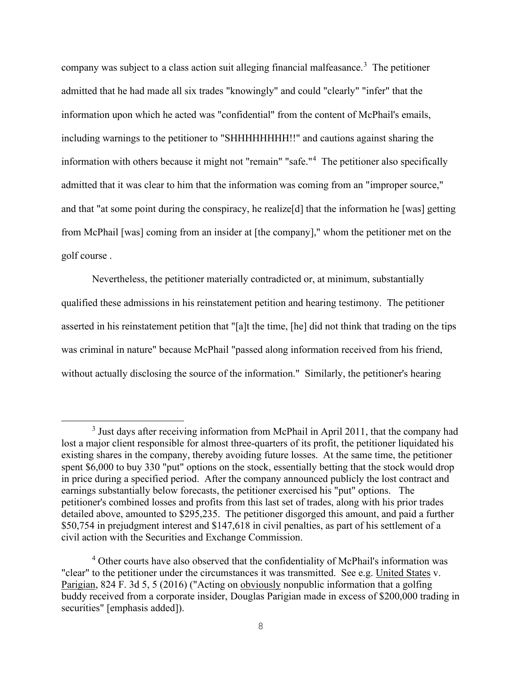company was subject to a class action suit alleging financial malfeasance.<sup>3</sup> The petitioner admitted that he had made all six trades "knowingly" and could "clearly" "infer" that the information upon which he acted was "confidential" from the content of McPhail's emails, including warnings to the petitioner to "SHHHHHHHH!!" and cautions against sharing the information with others because it might not "remain" "safe."<sup>4</sup> The petitioner also specifically admitted that it was clear to him that the information was coming from an "improper source," and that "at some point during the conspiracy, he realize<sup>[d]</sup> that the information he [was] getting from McPhail [was] coming from an insider at [the company]," whom the petitioner met on the golf course .

Nevertheless, the petitioner materially contradicted or, at minimum, substantially qualified these admissions in his reinstatement petition and hearing testimony. The petitioner asserted in his reinstatement petition that "[a]t the time, [he] did not think that trading on the tips was criminal in nature" because McPhail "passed along information received from his friend, without actually disclosing the source of the information." Similarly, the petitioner's hearing

<sup>&</sup>lt;sup>3</sup> Just days after receiving information from McPhail in April 2011, that the company had lost a major client responsible for almost three-quarters of its profit, the petitioner liquidated his existing shares in the company, thereby avoiding future losses. At the same time, the petitioner spent \$6,000 to buy 330 "put" options on the stock, essentially betting that the stock would drop in price during a specified period. After the company announced publicly the lost contract and earnings substantially below forecasts, the petitioner exercised his "put" options. The petitioner's combined losses and profits from this last set of trades, along with his prior trades detailed above, amounted to \$295,235. The petitioner disgorged this amount, and paid a further \$50,754 in prejudgment interest and \$147,618 in civil penalties, as part of his settlement of a civil action with the Securities and Exchange Commission.

<sup>&</sup>lt;sup>4</sup> Other courts have also observed that the confidentiality of McPhail's information was "clear" to the petitioner under the circumstances it was transmitted. See e.g. United States v. Parigian, 824 F. 3d 5, 5 (2016) ("Acting on obviously nonpublic information that a golfing buddy received from a corporate insider, Douglas Parigian made in excess of \$200,000 trading in securities" [emphasis added]).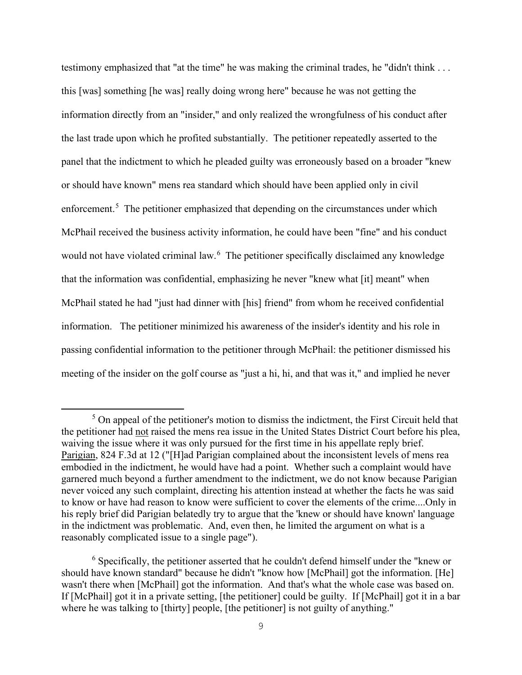testimony emphasized that "at the time" he was making the criminal trades, he "didn't think . . . this [was] something [he was] really doing wrong here" because he was not getting the information directly from an "insider," and only realized the wrongfulness of his conduct after the last trade upon which he profited substantially. The petitioner repeatedly asserted to the panel that the indictment to which he pleaded guilty was erroneously based on a broader "knew or should have known" mens rea standard which should have been applied only in civil enforcement.<sup>5</sup> The petitioner emphasized that depending on the circumstances under which McPhail received the business activity information, he could have been "fine" and his conduct would not have violated criminal law.<sup>6</sup> The petitioner specifically disclaimed any knowledge that the information was confidential, emphasizing he never "knew what [it] meant" when McPhail stated he had "just had dinner with [his] friend" from whom he received confidential information. The petitioner minimized his awareness of the insider's identity and his role in passing confidential information to the petitioner through McPhail: the petitioner dismissed his meeting of the insider on the golf course as "just a hi, hi, and that was it," and implied he never

 $<sup>5</sup>$  On appeal of the petitioner's motion to dismiss the indictment, the First Circuit held that</sup> the petitioner had not raised the mens rea issue in the United States District Court before his plea, waiving the issue where it was only pursued for the first time in his appellate reply brief. Parigian, 824 F.3d at 12 ("[H]ad Parigian complained about the inconsistent levels of mens rea embodied in the indictment, he would have had a point. Whether such a complaint would have garnered much beyond a further amendment to the indictment, we do not know because Parigian never voiced any such complaint, directing his attention instead at whether the facts he was said to know or have had reason to know were sufficient to cover the elements of the crime....Only in his reply brief did Parigian belatedly try to argue that the 'knew or should have known' language in the indictment was problematic. And, even then, he limited the argument on what is a reasonably complicated issue to a single page").

<sup>&</sup>lt;sup>6</sup> Specifically, the petitioner asserted that he couldn't defend himself under the "knew or should have known standard" because he didn't "know how [McPhail] got the information. [He] wasn't there when [McPhail] got the information. And that's what the whole case was based on. If [McPhail] got it in a private setting, [the petitioner] could be guilty. If [McPhail] got it in a bar where he was talking to [thirty] people, [the petitioner] is not guilty of anything."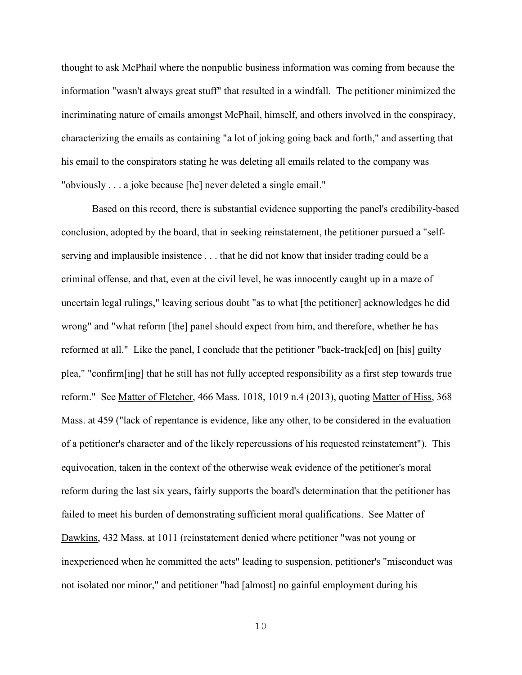thought to ask McPhail where the nonpublic business information was coming from because the information "wasn't always great stuff" that resulted in a windfall. The petitioner minimized the incriminating nature of emails amongst McPhail, himself, and others involved in the conspiracy, characterizing the emails as containing "a lot of joking going back and forth," and asserting that his email to the conspirators stating he was deleting all emails related to the company was "obviously . . . a joke because [he] never deleted a single email."

 Based on this record, there is substantial evidence supporting the panel's credibility-based conclusion, adopted by the board, that in seeking reinstatement, the petitioner pursued a "selfserving and implausible insistence . . . that he did not know that insider trading could be a criminal offense, and that, even at the civil level, he was innocently caught up in a maze of uncertain legal rulings," leaving serious doubt "as to what [the petitioner] acknowledges he did wrong" and "what reform [the] panel should expect from him, and therefore, whether he has reformed at all." Like the panel, I conclude that the petitioner "back-track[ed] on [his] guilty plea," "confirm[ing] that he still has not fully accepted responsibility as a first step towards true reform." See Matter of Fletcher, 466 Mass. 1018, 1019 n.4 (2013), quoting Matter of Hiss, 368 Mass. at 459 ("lack of repentance is evidence, like any other, to be considered in the evaluation of a petitioner's character and of the likely repercussions of his requested reinstatement"). This equivocation, taken in the context of the otherwise weak evidence of the petitioner's moral reform during the last six years, fairly supports the board's determination that the petitioner has failed to meet his burden of demonstrating sufficient moral qualifications. See Matter of Dawkins, 432 Mass. at 1011 (reinstatement denied where petitioner "was not young or inexperienced when he committed the acts" leading to suspension, petitioner's "misconduct was not isolated nor minor," and petitioner "had [almost] no gainful employment during his